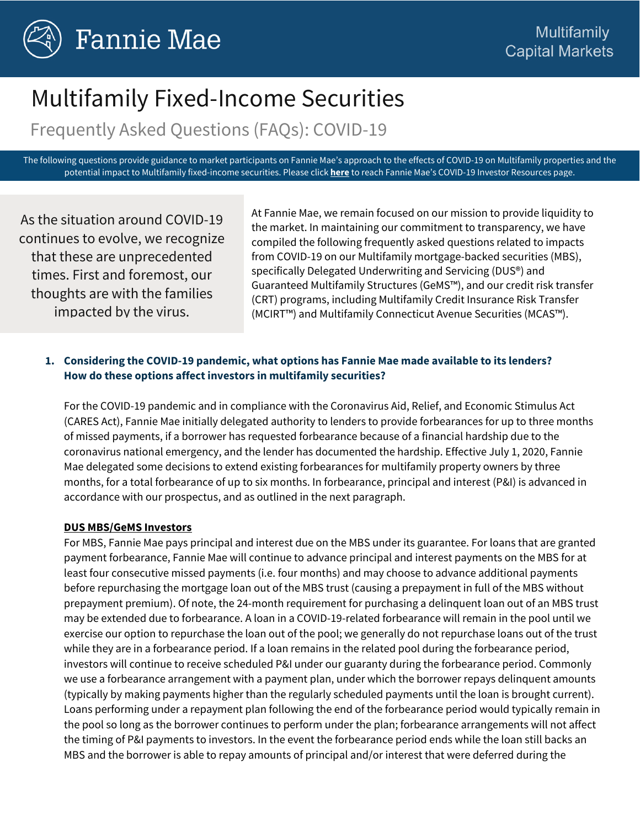

# Multifamily Fixed-Income Securities

Frequently Asked Questions (FAQs): COVID-19

The following questions provide guidance to market participants on Fannie Mae's approach to the effects of COVID-19 on Multifamily properties and the potential impact to Multifamily fixed-income securities. Please click **[here](https://www.fanniemae.com/portal/funding-the-market/covid-19/investor-resources.html)** to reach Fannie Mae's COVID-19 Investor Resources page.

As the situation around COVID-19 continues to evolve, we recognize that these are unprecedented times. First and foremost, our thoughts are with the families impacted by the virus.

At Fannie Mae, we remain focused on our mission to provide liquidity to the market. In maintaining our commitment to transparency, we have compiled the following frequently asked questions related to impacts from COVID-19 on our Multifamily mortgage-backed securities (MBS), specifically Delegated Underwriting and Servicing (DUS®) and Guaranteed Multifamily Structures (GeMS™), and our credit risk transfer (CRT) programs, including Multifamily Credit Insurance Risk Transfer (MCIRT™) and Multifamily Connecticut Avenue Securities (MCAS™).

## **1. Considering the COVID-19 pandemic, what options has Fannie Mae made available to its lenders? How do these options affect investors in multifamily securities?**

For the COVID-19 pandemic and in compliance with the Coronavirus Aid, Relief, and Economic Stimulus Act (CARES Act), Fannie Mae initially delegated authority to lenders to provide forbearances for up to three months of missed payments, if a borrower has requested forbearance because of a financial hardship due to the coronavirus national emergency, and the lender has documented the hardship. Effective July 1, 2020, Fannie Mae delegated some decisions to extend existing forbearances for multifamily property owners by three months, for a total forbearance of up to six months. In forbearance, principal and interest (P&I) is advanced in accordance with our prospectus, and as outlined in the next paragraph.

#### **DUS MBS/GeMS Investors**

For MBS, Fannie Mae pays principal and interest due on the MBS under its guarantee. For loans that are granted payment forbearance, Fannie Mae will continue to advance principal and interest payments on the MBS for at least four consecutive missed payments (i.e. four months) and may choose to advance additional payments before repurchasing the mortgage loan out of the MBS trust (causing a prepayment in full of the MBS without prepayment premium). Of note, the 24-month requirement for purchasing a delinquent loan out of an MBS trust may be extended due to forbearance. A loan in a COVID-19-related forbearance will remain in the pool until we exercise our option to repurchase the loan out of the pool; we generally do not repurchase loans out of the trust while they are in a forbearance period. If a loan remains in the related pool during the forbearance period, investors will continue to receive scheduled P&I under our guaranty during the forbearance period. Commonly we use a forbearance arrangement with a payment plan, under which the borrower repays delinquent amounts (typically by making payments higher than the regularly scheduled payments until the loan is brought current). Loans performing under a repayment plan following the end of the forbearance period would typically remain in the pool so long as the borrower continues to perform under the plan; forbearance arrangements will not affect the timing of P&I payments to investors. In the event the forbearance period ends while the loan still backs an MBS and the borrower is able to repay amounts of principal and/or interest that were deferred during the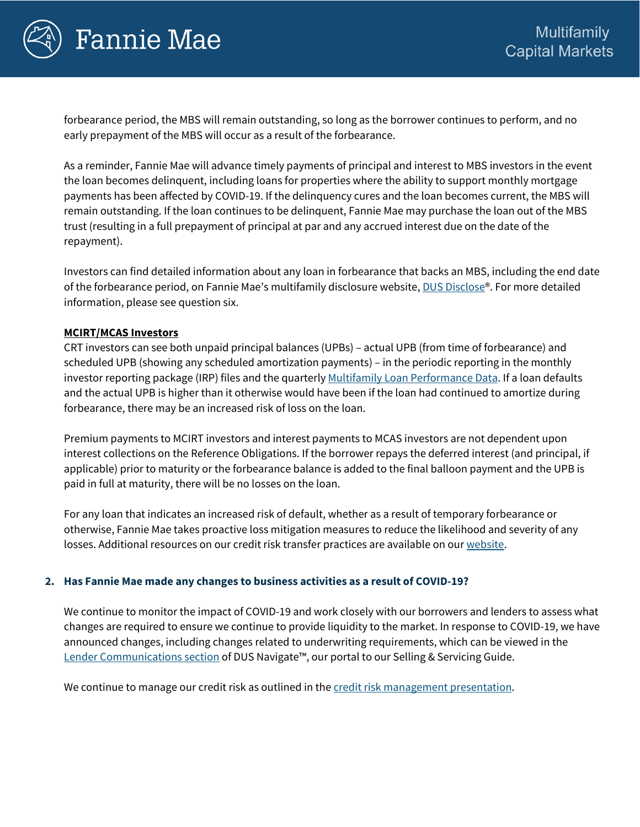

# **Fannie Mae**

forbearance period, the MBS will remain outstanding, so long as the borrower continues to perform, and no early prepayment of the MBS will occur as a result of the forbearance.

As a reminder, Fannie Mae will advance timely payments of principal and interest to MBS investors in the event the loan becomes delinquent, including loans for properties where the ability to support monthly mortgage payments has been affected by COVID-19. If the delinquency cures and the loan becomes current, the MBS will remain outstanding. If the loan continues to be delinquent, Fannie Mae may purchase the loan out of the MBS trust (resulting in a full prepayment of principal at par and any accrued interest due on the date of the repayment).

Investors can find detailed information about any loan in forbearance that backs an MBS, including the end date of the forbearance period, on Fannie Mae's multifamily disclosure website[, DUS Disclose®](https://mfdusdisclose.fanniemae.com/?_ga=2.255657152.932379224.1591021885-310581502.1573829234#/home). For more detailed information, please see question six.

## **MCIRT/MCAS Investors**

CRT investors can see both unpaid principal balances (UPBs) – actual UPB (from time of forbearance) and scheduled UPB (showing any scheduled amortization payments) – in the periodic reporting in the monthly investor reporting package (IRP) files and the quarterly [Multifamily Loan Performance Data.](https://preview.fanniemae.com/portal/funding-the-market/credit-risk/multifamily/loan-performance-data.html) If a loan defaults and the actual UPB is higher than it otherwise would have been if the loan had continued to amortize during forbearance, there may be an increased risk of loss on the loan.

Premium payments to MCIRT investors and interest payments to MCAS investors are not dependent upon interest collections on the Reference Obligations. If the borrower repays the deferred interest (and principal, if applicable) prior to maturity or the forbearance balance is added to the final balloon payment and the UPB is paid in full at maturity, there will be no losses on the loan.

For any loan that indicates an increased risk of default, whether as a result of temporary forbearance or otherwise, Fannie Mae takes proactive loss mitigation measures to reduce the likelihood and severity of any losses. Additional resources on our credit risk transfer practices are available on ou[r website.](https://www.fanniemae.com/portal/funding-the-market/credit-risk/multifamily/mf-credit-risk-transfer.html)

## **2. Has Fannie Mae made any changes to business activities as a result of COVID-19?**

We continue to monitor the impact of COVID-19 and work closely with our borrowers and lenders to assess what changes are required to ensure we continue to provide liquidity to the market. In response to COVID-19, we have announced changes, including changes related to underwriting requirements, which can be viewed in the [Lender Communications section](https://multifamily.fanniemae.com/documents-forms/lender-communications?lender_communications%5B241%5D=241) of DUS Navigate™, our portal to our Selling & Servicing Guide.

We continue to manage our credit risk as outlined in th[e credit risk management presentation.](https://dealroadshow.com/e/multifamilycrm)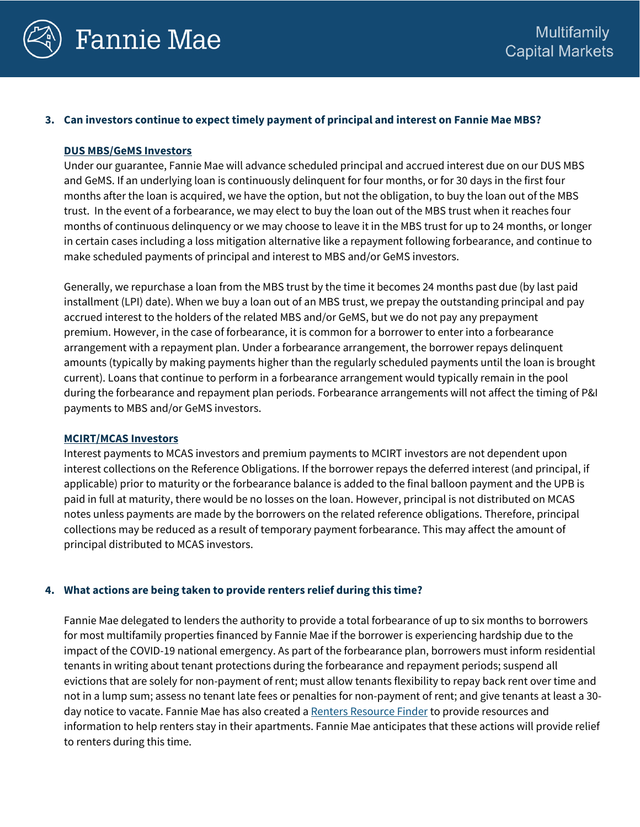

#### **3. Can investors continue to expect timely payment of principal and interest on Fannie Mae MBS?**

#### **DUS MBS/GeMS Investors**

Under our guarantee, Fannie Mae will advance scheduled principal and accrued interest due on our DUS MBS and GeMS. If an underlying loan is continuously delinquent for four months, or for 30 days in the first four months after the loan is acquired, we have the option, but not the obligation, to buy the loan out of the MBS trust. In the event of a forbearance, we may elect to buy the loan out of the MBS trust when it reaches four months of continuous delinquency or we may choose to leave it in the MBS trust for up to 24 months, or longer in certain cases including a loss mitigation alternative like a repayment following forbearance, and continue to make scheduled payments of principal and interest to MBS and/or GeMS investors.

Generally, we repurchase a loan from the MBS trust by the time it becomes 24 months past due (by last paid installment (LPI) date). When we buy a loan out of an MBS trust, we prepay the outstanding principal and pay accrued interest to the holders of the related MBS and/or GeMS, but we do not pay any prepayment premium. However, in the case of forbearance, it is common for a borrower to enter into a forbearance arrangement with a repayment plan. Under a forbearance arrangement, the borrower repays delinquent amounts (typically by making payments higher than the regularly scheduled payments until the loan is brought current). Loans that continue to perform in a forbearance arrangement would typically remain in the pool during the forbearance and repayment plan periods. Forbearance arrangements will not affect the timing of P&I payments to MBS and/or GeMS investors.

#### **MCIRT/MCAS Investors**

Interest payments to MCAS investors and premium payments to MCIRT investors are not dependent upon interest collections on the Reference Obligations. If the borrower repays the deferred interest (and principal, if applicable) prior to maturity or the forbearance balance is added to the final balloon payment and the UPB is paid in full at maturity, there would be no losses on the loan. However, principal is not distributed on MCAS notes unless payments are made by the borrowers on the related reference obligations. Therefore, principal collections may be reduced as a result of temporary payment forbearance. This may affect the amount of principal distributed to MCAS investors.

#### **4. What actions are being taken to provide renters relief during this time?**

Fannie Mae delegated to lenders the authority to provide a total forbearance of up to six months to borrowers for most multifamily properties financed by Fannie Mae if the borrower is experiencing hardship due to the impact of the COVID-19 national emergency. As part of the forbearance plan, borrowers must inform residential tenants in writing about tenant protections during the forbearance and repayment periods; suspend all evictions that are solely for non-payment of rent; must allow tenants flexibility to repay back rent over time and not in a lump sum; assess no tenant late fees or penalties for non-payment of rent; and give tenants at least a 30 day notice to vacate. Fannie Mae has also created [a Renters Resource Finder](https://www.knowyouroptions.com/rentersresourcefinder) to provide resources and information to help renters stay in their apartments. Fannie Mae anticipates that these actions will provide relief to renters during this time.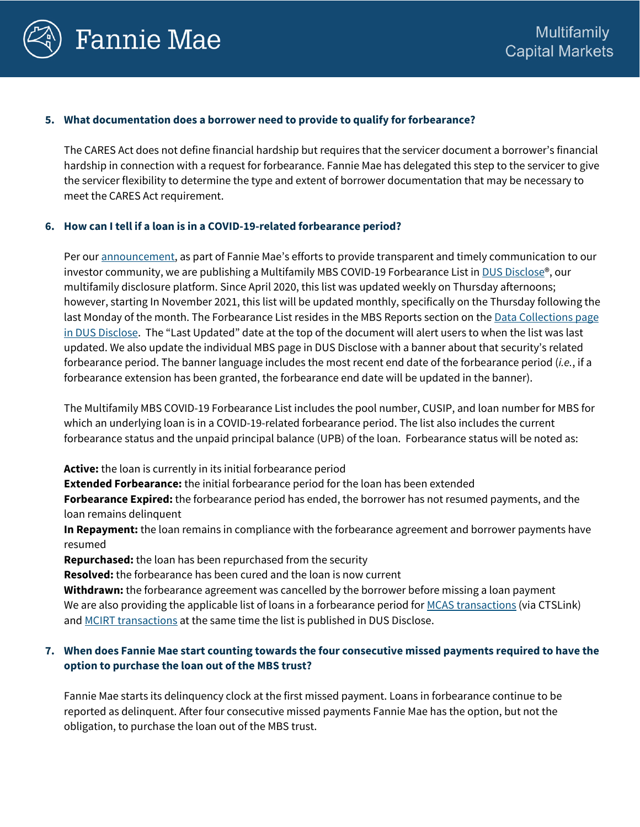

#### **5. What documentation does a borrower need to provide to qualify for forbearance?**

The CARES Act does not define financial hardship but requires that the servicer document a borrower's financial hardship in connection with a request for forbearance. Fannie Mae has delegated this step to the servicer to give the servicer flexibility to determine the type and extent of borrower documentation that may be necessary to meet the CARES Act requirement.

#### **6. How can I tell if a loan is in a COVID-19-related forbearance period?**

Per our **announcement**, as part of Fannie Mae's efforts to provide transparent and timely communication to our investor community, we are publishing a Multifamily MBS COVID-19 Forbearance List i[n DUS Disclose®](https://mfdusdisclose.fanniemae.com/?_ga=2.255657152.932379224.1591021885-310581502.1573829234#/home), our multifamily disclosure platform. Since April 2020, this list was updated weekly on Thursday afternoons; however, starting In November 2021, this list will be updated monthly, specifically on the Thursday following the last Monday of the month. The Forbearance List resides in the MBS Reports section on the Data Collections page [in DUS Disclose.](https://mfdusdisclose.fanniemae.com/?_ga=2.262936971.667564447.1589813216-310581502.1573829234#/resources/datacollections) The "Last Updated" date at the top of the document will alert users to when the list was last updated. We also update the individual MBS page in DUS Disclose with a banner about that security's related forbearance period. The banner language includes the most recent end date of the forbearance period (*i.e.*, if a forbearance extension has been granted, the forbearance end date will be updated in the banner).

The Multifamily MBS COVID-19 Forbearance List includes the pool number, CUSIP, and loan number for MBS for which an underlying loan is in a COVID-19-related forbearance period. The list also includes the current forbearance status and the unpaid principal balance (UPB) of the loan. Forbearance status will be noted as:

**Active:** the loan is currently in its initial forbearance period

**Extended Forbearance:** the initial forbearance period for the loan has been extended

**Forbearance Expired:** the forbearance period has ended, the borrower has not resumed payments, and the loan remains delinquent

**In Repayment:** the loan remains in compliance with the forbearance agreement and borrower payments have resumed

**Repurchased:** the loan has been repurchased from the security

**Resolved:** the forbearance has been cured and the loan is now current

**Withdrawn:** the forbearance agreement was cancelled by the borrower before missing a loan payment We are also providing the applicable list of loans in a forbearance period for [MCAS transactions](https://www.fanniemae.com/portal/funding-the-market/credit-risk/multifamily/mf-connecticut-avenue-securities-transactions.html) (via CTSLink) and [MCIRT transactions](https://www.fanniemae.com/portal/funding-the-market/credit-risk/multifamily/mf-cirt-transactions.html) at the same time the list is published in DUS Disclose.

# **7. When does Fannie Mae start counting towards the four consecutive missed payments required to have the option to purchase the loan out of the MBS trust?**

Fannie Mae starts its delinquency clock at the first missed payment. Loans in forbearance continue to be reported as delinquent. After four consecutive missed payments Fannie Mae has the option, but not the obligation, to purchase the loan out of the MBS trust.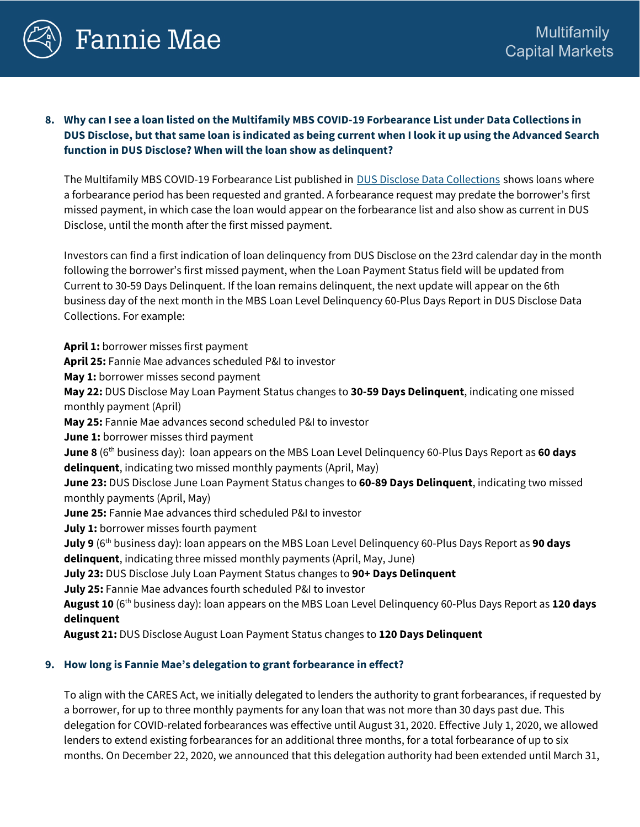

**8. Why can I see a loan listed on the Multifamily MBS COVID-19 Forbearance List under Data Collections in DUS Disclose, but that same loan is indicated as being current when I look it up using the Advanced Search function in DUS Disclose? When will the loan show as delinquent?**

The Multifamily MBS COVID-19 Forbearance List published in **[DUS Disclose Data Collections](https://mfdusdisclose.fanniemae.com/?_ga=2.112969164.932379224.1591021885-310581502.1573829234#/resources/datacollections)** shows loans where a forbearance period has been requested and granted. A forbearance request may predate the borrower's first missed payment, in which case the loan would appear on the forbearance list and also show as current in DUS Disclose, until the month after the first missed payment.

Investors can find a first indication of loan delinquency from DUS Disclose on the 23rd calendar day in the month following the borrower's first missed payment, when the Loan Payment Status field will be updated from Current to 30-59 Days Delinquent. If the loan remains delinquent, the next update will appear on the 6th business day of the next month in the MBS Loan Level Delinquency 60-Plus Days Report in DUS Disclose Data Collections. For example:

**April 1:** borrower misses first payment **April 25:** Fannie Mae advances scheduled P&I to investor

**May 1:** borrower misses second payment

**May 22:** DUS Disclose May Loan Payment Status changes to **30-59 Days Delinquent**, indicating one missed monthly payment (April)

**May 25:** Fannie Mae advances second scheduled P&I to investor

**June 1:** borrower misses third payment

**June 8** (6th business day): loan appears on the MBS Loan Level Delinquency 60-Plus Days Report as **60 days delinquent**, indicating two missed monthly payments (April, May)

**June 23:** DUS Disclose June Loan Payment Status changes to **60-89 Days Delinquent**, indicating two missed monthly payments (April, May)

**June 25:** Fannie Mae advances third scheduled P&I to investor

**July 1:** borrower misses fourth payment

**July 9** (6th business day): loan appears on the MBS Loan Level Delinquency 60-Plus Days Report as **90 days delinquent**, indicating three missed monthly payments (April, May, June)

**July 23:** DUS Disclose July Loan Payment Status changes to **90+ Days Delinquent**

**July 25:** Fannie Mae advances fourth scheduled P&I to investor

**August 10** (6th business day): loan appears on the MBS Loan Level Delinquency 60-Plus Days Report as **120 days delinquent**

**August 21:** DUS Disclose August Loan Payment Status changes to **120 Days Delinquent**

## **9. How long is Fannie Mae's delegation to grant forbearance in effect?**

To align with the CARES Act, we initially delegated to lenders the authority to grant forbearances, if requested by a borrower, for up to three monthly payments for any loan that was not more than 30 days past due. This delegation for COVID-related forbearances was effective until August 31, 2020. Effective July 1, 2020, we allowed lenders to extend existing forbearances for an additional three months, for a total forbearance of up to six months. On December 22, 2020, we announced that this delegation authority had been extended until March 31,